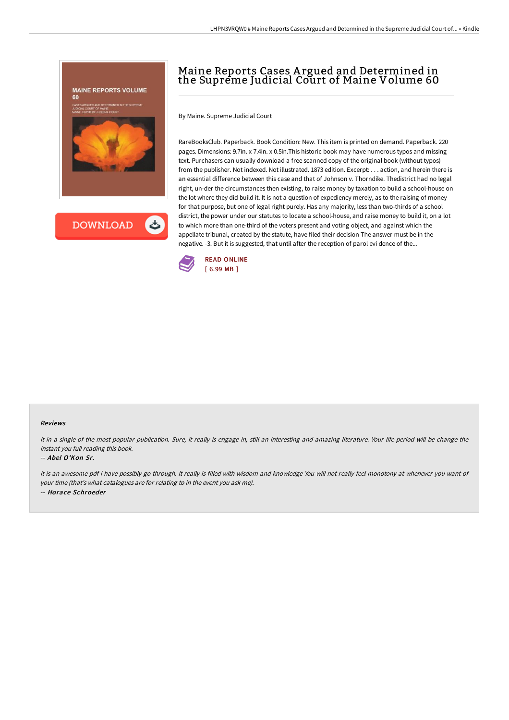

## Maine Reports Cases A rgued and Determined in the Supreme Judicial Court of Maine Volume 60

By Maine. Supreme Judicial Court

RareBooksClub. Paperback. Book Condition: New. This item is printed on demand. Paperback. 220 pages. Dimensions: 9.7in. x 7.4in. x 0.5in.This historic book may have numerous typos and missing text. Purchasers can usually download a free scanned copy of the original book (without typos) from the publisher. Not indexed. Not illustrated. 1873 edition. Excerpt: . . . action, and herein there is an essential difference between this case and that of Johnson v. Thorndike. Thedistrict had no legal right, un-der the circumstances then existing, to raise money by taxation to build a school-house on the lot where they did build it. It is not a question of expediency merely, as to the raising of money for that purpose, but one of legal right purely. Has any majority, less than two-thirds of a school district, the power under our statutes to locate a school-house, and raise money to build it, on a lot to which more than one-third of the voters present and voting object, and against which the appellate tribunal, created by the statute, have filed their decision The answer must be in the negative. -3. But it is suggested, that until after the reception of parol evi dence of the...



## Reviews

It in <sup>a</sup> single of the most popular publication. Sure, it really is engage in, still an interesting and amazing literature. Your life period will be change the instant you full reading this book.

## -- Abel O'Kon Sr.

It is an awesome pdf i have possibly go through. It really is filled with wisdom and knowledge You will not really feel monotony at whenever you want of your time (that's what catalogues are for relating to in the event you ask me). -- Horace Schroeder